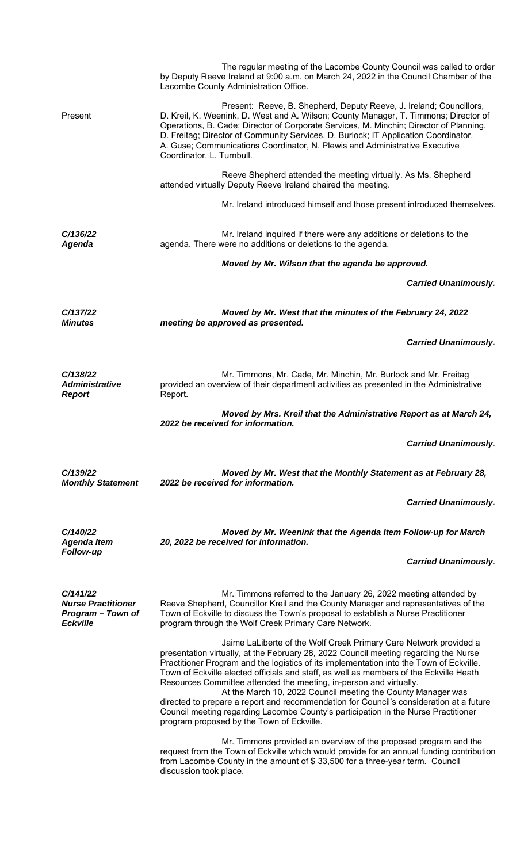|                                                                               | The regular meeting of the Lacombe County Council was called to order<br>by Deputy Reeve Ireland at 9:00 a.m. on March 24, 2022 in the Council Chamber of the<br>Lacombe County Administration Office.                                                                                                                                                                                                                                                                                                                                                                                                                                                                                                             |  |
|-------------------------------------------------------------------------------|--------------------------------------------------------------------------------------------------------------------------------------------------------------------------------------------------------------------------------------------------------------------------------------------------------------------------------------------------------------------------------------------------------------------------------------------------------------------------------------------------------------------------------------------------------------------------------------------------------------------------------------------------------------------------------------------------------------------|--|
| Present                                                                       | Present: Reeve, B. Shepherd, Deputy Reeve, J. Ireland; Councillors,<br>D. Kreil, K. Weenink, D. West and A. Wilson; County Manager, T. Timmons; Director of<br>Operations, B. Cade; Director of Corporate Services, M. Minchin; Director of Planning,<br>D. Freitag; Director of Community Services, D. Burlock; IT Application Coordinator,<br>A. Guse; Communications Coordinator, N. Plewis and Administrative Executive<br>Coordinator, L. Turnbull.                                                                                                                                                                                                                                                           |  |
|                                                                               | Reeve Shepherd attended the meeting virtually. As Ms. Shepherd<br>attended virtually Deputy Reeve Ireland chaired the meeting.                                                                                                                                                                                                                                                                                                                                                                                                                                                                                                                                                                                     |  |
|                                                                               | Mr. Ireland introduced himself and those present introduced themselves.                                                                                                                                                                                                                                                                                                                                                                                                                                                                                                                                                                                                                                            |  |
| C/136/22<br><b>Agenda</b>                                                     | Mr. Ireland inquired if there were any additions or deletions to the<br>agenda. There were no additions or deletions to the agenda.                                                                                                                                                                                                                                                                                                                                                                                                                                                                                                                                                                                |  |
|                                                                               | Moved by Mr. Wilson that the agenda be approved.                                                                                                                                                                                                                                                                                                                                                                                                                                                                                                                                                                                                                                                                   |  |
|                                                                               | <b>Carried Unanimously.</b>                                                                                                                                                                                                                                                                                                                                                                                                                                                                                                                                                                                                                                                                                        |  |
| C/137/22<br><b>Minutes</b>                                                    | Moved by Mr. West that the minutes of the February 24, 2022<br>meeting be approved as presented.                                                                                                                                                                                                                                                                                                                                                                                                                                                                                                                                                                                                                   |  |
|                                                                               | <b>Carried Unanimously.</b>                                                                                                                                                                                                                                                                                                                                                                                                                                                                                                                                                                                                                                                                                        |  |
| C/138/22<br><b>Administrative</b><br><b>Report</b>                            | Mr. Timmons, Mr. Cade, Mr. Minchin, Mr. Burlock and Mr. Freitag<br>provided an overview of their department activities as presented in the Administrative<br>Report.                                                                                                                                                                                                                                                                                                                                                                                                                                                                                                                                               |  |
|                                                                               | Moved by Mrs. Kreil that the Administrative Report as at March 24,<br>2022 be received for information.                                                                                                                                                                                                                                                                                                                                                                                                                                                                                                                                                                                                            |  |
|                                                                               | <b>Carried Unanimously.</b>                                                                                                                                                                                                                                                                                                                                                                                                                                                                                                                                                                                                                                                                                        |  |
| C/139/22<br><b>Monthly Statement</b>                                          | Moved by Mr. West that the Monthly Statement as at February 28,<br>2022 be received for information.                                                                                                                                                                                                                                                                                                                                                                                                                                                                                                                                                                                                               |  |
|                                                                               | <b>Carried Unanimously.</b>                                                                                                                                                                                                                                                                                                                                                                                                                                                                                                                                                                                                                                                                                        |  |
| C/140/22<br><b>Agenda Item</b>                                                | Moved by Mr. Weenink that the Agenda Item Follow-up for March<br>20, 2022 be received for information.                                                                                                                                                                                                                                                                                                                                                                                                                                                                                                                                                                                                             |  |
| Follow-up                                                                     | <b>Carried Unanimously.</b>                                                                                                                                                                                                                                                                                                                                                                                                                                                                                                                                                                                                                                                                                        |  |
| C/141/22<br><b>Nurse Practitioner</b><br>Program - Town of<br><b>Eckville</b> | Mr. Timmons referred to the January 26, 2022 meeting attended by<br>Reeve Shepherd, Councillor Kreil and the County Manager and representatives of the<br>Town of Eckville to discuss the Town's proposal to establish a Nurse Practitioner<br>program through the Wolf Creek Primary Care Network.                                                                                                                                                                                                                                                                                                                                                                                                                |  |
|                                                                               | Jaime LaLiberte of the Wolf Creek Primary Care Network provided a<br>presentation virtually, at the February 28, 2022 Council meeting regarding the Nurse<br>Practitioner Program and the logistics of its implementation into the Town of Eckville.<br>Town of Eckville elected officials and staff, as well as members of the Eckville Heath<br>Resources Committee attended the meeting, in-person and virtually.<br>At the March 10, 2022 Council meeting the County Manager was<br>directed to prepare a report and recommendation for Council's consideration at a future<br>Council meeting regarding Lacombe County's participation in the Nurse Practitioner<br>program proposed by the Town of Eckville. |  |
|                                                                               | Mr. Timmons provided an overview of the proposed program and the<br>request from the Town of Eckville which would provide for an annual funding contribution<br>from Lacombe County in the amount of \$33,500 for a three-year term. Council<br>discussion took place.                                                                                                                                                                                                                                                                                                                                                                                                                                             |  |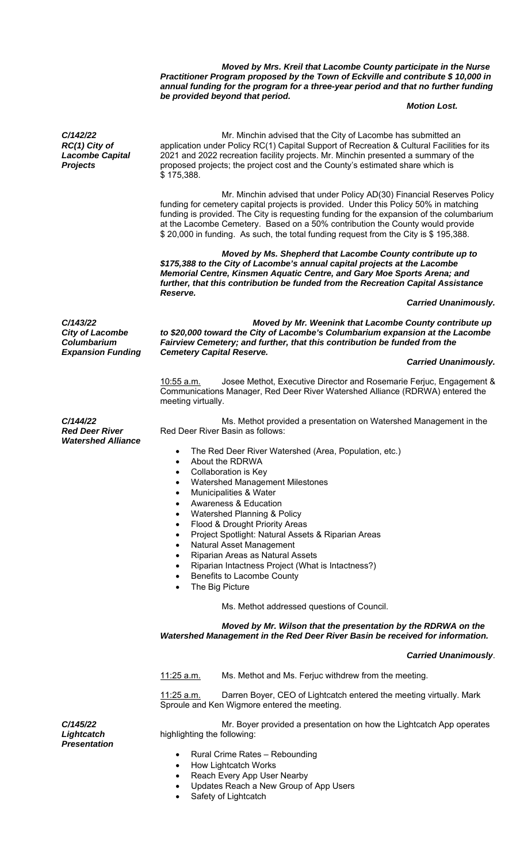*Moved by Mrs. Kreil that Lacombe County participate in the Nurse Practitioner Program proposed by the Town of Eckville and contribute \$ 10,000 in annual funding for the program for a three-year period and that no further funding be provided beyond that period.* 

### *Motion Lost.*

*C/142/22 RC(1) City of Lacombe Capital Projects* 

 Mr. Minchin advised that the City of Lacombe has submitted an application under Policy RC(1) Capital Support of Recreation & Cultural Facilities for its 2021 and 2022 recreation facility projects. Mr. Minchin presented a summary of the proposed projects; the project cost and the County's estimated share which is \$ 175,388.

 Mr. Minchin advised that under Policy AD(30) Financial Reserves Policy funding for cemetery capital projects is provided. Under this Policy 50% in matching funding is provided. The City is requesting funding for the expansion of the columbarium at the Lacombe Cemetery. Based on a 50% contribution the County would provide \$ 20,000 in funding. As such, the total funding request from the City is \$ 195,388.

 *Moved by Ms. Shepherd that Lacombe County contribute up to \$175,388 to the City of Lacombe's annual capital projects at the Lacombe Memorial Centre, Kinsmen Aquatic Centre, and Gary Moe Sports Arena; and further, that this contribution be funded from the Recreation Capital Assistance Reserve.* 

## *Carried Unanimously.*

*C/143/22 City of Lacombe Columbarium Expansion Funding* 

*Moved by Mr. Weenink that Lacombe County contribute up to \$20,000 toward the City of Lacombe's Columbarium expansion at the Lacombe Fairview Cemetery; and further, that this contribution be funded from the Cemetery Capital Reserve.*

### *Carried Unanimously.*

 10:55 a.m. Josee Methot, Executive Director and Rosemarie Ferjuc, Engagement & Communications Manager, Red Deer River Watershed Alliance (RDRWA) entered the meeting virtually.

*C/144/22 Red Deer River Watershed Alliance* 

*C/145/22 Lightcatch* 

*Presentation* 

Ms. Methot provided a presentation on Watershed Management in the Red Deer River Basin as follows:

- The Red Deer River Watershed (Area, Population, etc.)
- About the RDRWA
- Collaboration is Key
- Watershed Management Milestones
- Municipalities & Water
- Awareness & Education
- Watershed Planning & Policy
- Flood & Drought Priority Areas
- Project Spotlight: Natural Assets & Riparian Areas
	- Natural Asset Management
	- Riparian Areas as Natural Assets
- Riparian Intactness Project (What is Intactness?)
- Benefits to Lacombe County
- The Big Picture

### Ms. Methot addressed questions of Council.

 *Moved by Mr. Wilson that the presentation by the RDRWA on the Watershed Management in the Red Deer River Basin be received for information.* 

#### *Carried Unanimously*.

11:25 a.m. Ms. Methot and Ms. Ferjuc withdrew from the meeting.

11:25 a.m. Darren Boyer, CEO of Lightcatch entered the meeting virtually. Mark Sproule and Ken Wigmore entered the meeting.

 Mr. Boyer provided a presentation on how the Lightcatch App operates highlighting the following:

- Rural Crime Rates Rebounding
- How Lightcatch Works
- Reach Every App User Nearby
- Updates Reach a New Group of App Users
- Safety of Lightcatch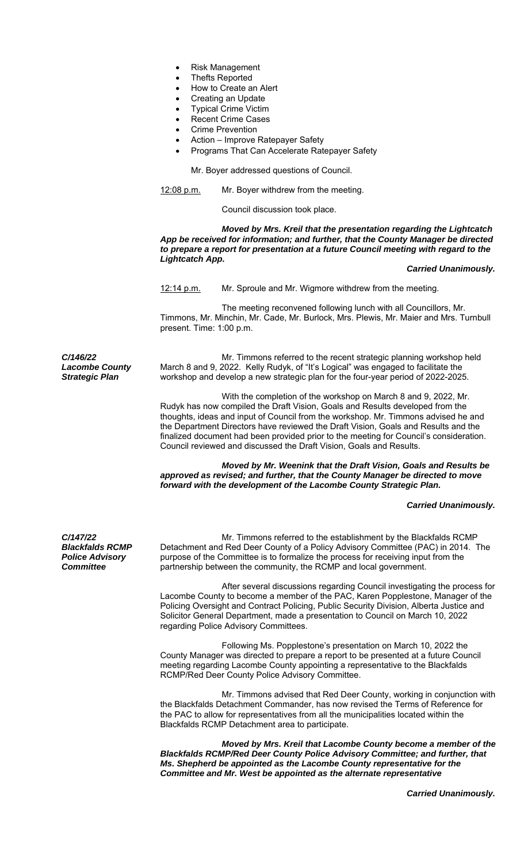- Risk Management
- Thefts Reported
- How to Create an Alert
- Creating an Update
- Typical Crime Victim
- Recent Crime Cases
- Crime Prevention
- Action Improve Ratepayer Safety
- Programs That Can Accelerate Ratepayer Safety

Mr. Boyer addressed questions of Council.

12:08 p.m. Mr. Boyer withdrew from the meeting.

Council discussion took place.

 *Moved by Mrs. Kreil that the presentation regarding the Lightcatch App be received for information; and further, that the County Manager be directed to prepare a report for presentation at a future Council meeting with regard to the Lightcatch App.* 

### *Carried Unanimously.*

12:14 p.m. Mr. Sproule and Mr. Wigmore withdrew from the meeting.

 The meeting reconvened following lunch with all Councillors, Mr. Timmons, Mr. Minchin, Mr. Cade, Mr. Burlock, Mrs. Plewis, Mr. Maier and Mrs. Turnbull present. Time: 1:00 p.m.

*C/146/22 Lacombe County Strategic Plan* 

 Mr. Timmons referred to the recent strategic planning workshop held March 8 and 9, 2022. Kelly Rudyk, of "It's Logical" was engaged to facilitate the workshop and develop a new strategic plan for the four-year period of 2022-2025.

 With the completion of the workshop on March 8 and 9, 2022, Mr. Rudyk has now compiled the Draft Vision, Goals and Results developed from the thoughts, ideas and input of Council from the workshop. Mr. Timmons advised he and the Department Directors have reviewed the Draft Vision, Goals and Results and the finalized document had been provided prior to the meeting for Council's consideration. Council reviewed and discussed the Draft Vision, Goals and Results.

 *Moved by Mr. Weenink that the Draft Vision, Goals and Results be approved as revised; and further, that the County Manager be directed to move forward with the development of the Lacombe County Strategic Plan.* 

# *Carried Unanimously.*

*C/147/22 Blackfalds RCMP Police Advisory Committee* 

 Mr. Timmons referred to the establishment by the Blackfalds RCMP Detachment and Red Deer County of a Policy Advisory Committee (PAC) in 2014. The purpose of the Committee is to formalize the process for receiving input from the partnership between the community, the RCMP and local government.

 After several discussions regarding Council investigating the process for Lacombe County to become a member of the PAC, Karen Popplestone, Manager of the Policing Oversight and Contract Policing, Public Security Division, Alberta Justice and Solicitor General Department, made a presentation to Council on March 10, 2022 regarding Police Advisory Committees.

 Following Ms. Popplestone's presentation on March 10, 2022 the County Manager was directed to prepare a report to be presented at a future Council meeting regarding Lacombe County appointing a representative to the Blackfalds RCMP/Red Deer County Police Advisory Committee.

 Mr. Timmons advised that Red Deer County, working in conjunction with the Blackfalds Detachment Commander, has now revised the Terms of Reference for the PAC to allow for representatives from all the municipalities located within the Blackfalds RCMP Detachment area to participate.

*Moved by Mrs. Kreil that Lacombe County become a member of the Blackfalds RCMP/Red Deer County Police Advisory Committee; and further, that Ms. Shepherd be appointed as the Lacombe County representative for the Committee and Mr. West be appointed as the alternate representative*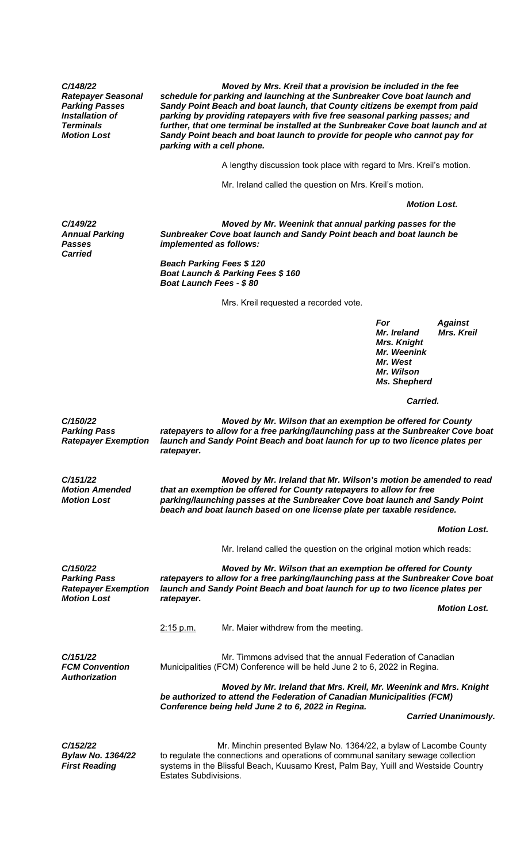*C/148/22 Ratepayer Seasonal Parking Passes Installation of Terminals Motion Lost*

 *Moved by Mrs. Kreil that a provision be included in the fee schedule for parking and launching at the Sunbreaker Cove boat launch and Sandy Point Beach and boat launch, that County citizens be exempt from paid parking by providing ratepayers with five free seasonal parking passes; and further, that one terminal be installed at the Sunbreaker Cove boat launch and at Sandy Point beach and boat launch to provide for people who cannot pay for parking with a cell phone.* 

A lengthy discussion took place with regard to Mrs. Kreil's motion.

Mr. Ireland called the question on Mrs. Kreil's motion.

 *Motion Lost.*

*C/149/22 Annual Parking Passes Carried* 

 *Moved by Mr. Weenink that annual parking passes for the Sunbreaker Cove boat launch and Sandy Point beach and boat launch be implemented as follows:* 

 *Beach Parking Fees \$ 120 Boat Launch & Parking Fees \$ 160 Boat Launch Fees - \$ 80* 

**Mrs. Kreil requested a recorded vote.** 

 *For Against Mr. Ireland Mrs. Kreil Mrs. Knight Mr. Weenink Mr. West Mr. Wilson Ms. Shepherd* 

*Carried. Carried.* 

*C/150/22 Parking Pass Ratepayer Exemption* 

*Motion Amended Motion Lost* 

*C/151/22* 

 *Moved by Mr. Wilson that an exemption be offered for County ratepayers to allow for a free parking/launching pass at the Sunbreaker Cove boat launch and Sandy Point Beach and boat launch for up to two licence plates per ratepayer.* 

 *Moved by Mr. Ireland that Mr. Wilson's motion be amended to read that an exemption be offered for County ratepayers to allow for free parking/launching passes at the Sunbreaker Cove boat launch and Sandy Point beach and boat launch based on one license plate per taxable residence.* 

 *Motion Lost.* 

Mr. Ireland called the question on the original motion which reads:

*C/150/22 Parking Pass Ratepayer Exemption Motion Lost Moved by Mr. Wilson that an exemption be offered for County ratepayers to allow for a free parking/launching pass at the Sunbreaker Cove boat launch and Sandy Point Beach and boat launch for up to two licence plates per ratepayer. Motion Lost.* 

2:15 p.m. Mr. Maier withdrew from the meeting.

*C/151/22 FCM Convention Authorization* 

 Mr. Timmons advised that the annual Federation of Canadian Municipalities (FCM) Conference will be held June 2 to 6, 2022 in Regina.

 *Moved by Mr. Ireland that Mrs. Kreil, Mr. Weenink and Mrs. Knight be authorized to attend the Federation of Canadian Municipalities (FCM) Conference being held June 2 to 6, 2022 in Regina.* 

 *Carried Unanimously.* 

*C/152/22 Bylaw No. 1364/22 First Reading* 

 Mr. Minchin presented Bylaw No. 1364/22, a bylaw of Lacombe County to regulate the connections and operations of communal sanitary sewage collection systems in the Blissful Beach, Kuusamo Krest, Palm Bay, Yuill and Westside Country Estates Subdivisions.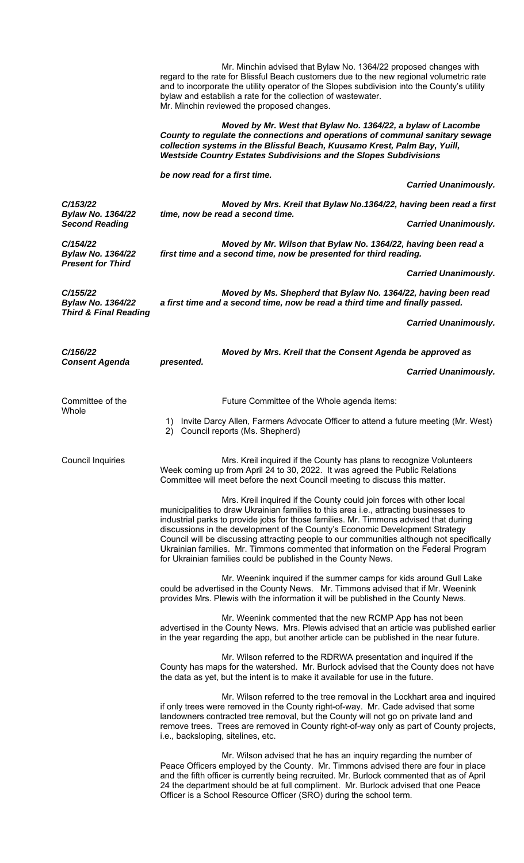|                                                                          | Mr. Minchin advised that Bylaw No. 1364/22 proposed changes with<br>regard to the rate for Blissful Beach customers due to the new regional volumetric rate<br>and to incorporate the utility operator of the Slopes subdivision into the County's utility<br>bylaw and establish a rate for the collection of wastewater.<br>Mr. Minchin reviewed the proposed changes.                                                                                                                                                                                                                 |                             |
|--------------------------------------------------------------------------|------------------------------------------------------------------------------------------------------------------------------------------------------------------------------------------------------------------------------------------------------------------------------------------------------------------------------------------------------------------------------------------------------------------------------------------------------------------------------------------------------------------------------------------------------------------------------------------|-----------------------------|
|                                                                          | Moved by Mr. West that Bylaw No. 1364/22, a bylaw of Lacombe<br>County to regulate the connections and operations of communal sanitary sewage<br>collection systems in the Blissful Beach, Kuusamo Krest, Palm Bay, Yuill,<br><b>Westside Country Estates Subdivisions and the Slopes Subdivisions</b>                                                                                                                                                                                                                                                                                   |                             |
|                                                                          | be now read for a first time.                                                                                                                                                                                                                                                                                                                                                                                                                                                                                                                                                            | <b>Carried Unanimously.</b> |
| C/153/22<br><b>Bylaw No. 1364/22</b><br><b>Second Reading</b>            | Moved by Mrs. Kreil that Bylaw No.1364/22, having been read a first                                                                                                                                                                                                                                                                                                                                                                                                                                                                                                                      |                             |
|                                                                          | time, now be read a second time.                                                                                                                                                                                                                                                                                                                                                                                                                                                                                                                                                         | <b>Carried Unanimously.</b> |
| C/154/22<br><b>Bylaw No. 1364/22</b><br><b>Present for Third</b>         | Moved by Mr. Wilson that Bylaw No. 1364/22, having been read a<br>first time and a second time, now be presented for third reading.                                                                                                                                                                                                                                                                                                                                                                                                                                                      |                             |
|                                                                          |                                                                                                                                                                                                                                                                                                                                                                                                                                                                                                                                                                                          | <b>Carried Unanimously.</b> |
| C/155/22<br><b>Bylaw No. 1364/22</b><br><b>Third &amp; Final Reading</b> | Moved by Ms. Shepherd that Bylaw No. 1364/22, having been read<br>a first time and a second time, now be read a third time and finally passed.                                                                                                                                                                                                                                                                                                                                                                                                                                           |                             |
|                                                                          |                                                                                                                                                                                                                                                                                                                                                                                                                                                                                                                                                                                          | <b>Carried Unanimously.</b> |
| C/156/22<br><b>Consent Agenda</b>                                        | Moved by Mrs. Kreil that the Consent Agenda be approved as                                                                                                                                                                                                                                                                                                                                                                                                                                                                                                                               |                             |
|                                                                          | presented.                                                                                                                                                                                                                                                                                                                                                                                                                                                                                                                                                                               | <b>Carried Unanimously.</b> |
| Committee of the<br>Whole                                                | Future Committee of the Whole agenda items:                                                                                                                                                                                                                                                                                                                                                                                                                                                                                                                                              |                             |
|                                                                          | Invite Darcy Allen, Farmers Advocate Officer to attend a future meeting (Mr. West)<br>1)<br>Council reports (Ms. Shepherd)<br>2)                                                                                                                                                                                                                                                                                                                                                                                                                                                         |                             |
| <b>Council Inquiries</b>                                                 | Mrs. Kreil inquired if the County has plans to recognize Volunteers<br>Week coming up from April 24 to 30, 2022. It was agreed the Public Relations<br>Committee will meet before the next Council meeting to discuss this matter.                                                                                                                                                                                                                                                                                                                                                       |                             |
|                                                                          | Mrs. Kreil inquired if the County could join forces with other local<br>municipalities to draw Ukrainian families to this area i.e., attracting businesses to<br>industrial parks to provide jobs for those families. Mr. Timmons advised that during<br>discussions in the development of the County's Economic Development Strategy<br>Council will be discussing attracting people to our communities although not specifically<br>Ukrainian families. Mr. Timmons commented that information on the Federal Program<br>for Ukrainian families could be published in the County News. |                             |
|                                                                          | Mr. Weenink inquired if the summer camps for kids around Gull Lake<br>could be advertised in the County News. Mr. Timmons advised that if Mr. Weenink<br>provides Mrs. Plewis with the information it will be published in the County News.                                                                                                                                                                                                                                                                                                                                              |                             |
|                                                                          | Mr. Weenink commented that the new RCMP App has not been<br>advertised in the County News. Mrs. Plewis advised that an article was published earlier<br>in the year regarding the app, but another article can be published in the near future.                                                                                                                                                                                                                                                                                                                                          |                             |
|                                                                          | Mr. Wilson referred to the RDRWA presentation and inquired if the<br>County has maps for the watershed. Mr. Burlock advised that the County does not have<br>the data as yet, but the intent is to make it available for use in the future.                                                                                                                                                                                                                                                                                                                                              |                             |
|                                                                          | Mr. Wilson referred to the tree removal in the Lockhart area and inquired<br>if only trees were removed in the County right-of-way. Mr. Cade advised that some<br>landowners contracted tree removal, but the County will not go on private land and<br>remove trees. Trees are removed in County right-of-way only as part of County projects,<br>i.e., backsloping, sitelines, etc.                                                                                                                                                                                                    |                             |
|                                                                          | Mr. Wilson advised that he has an inquiry regarding the number of<br>Peace Officers employed by the County. Mr. Timmons advised there are four in place<br>and the fifth officer is currently being recruited. Mr. Burlock commented that as of April<br>24 the department should be at full compliment. Mr. Burlock advised that one Peace<br>Officer is a School Resource Officer (SRO) during the school term.                                                                                                                                                                        |                             |